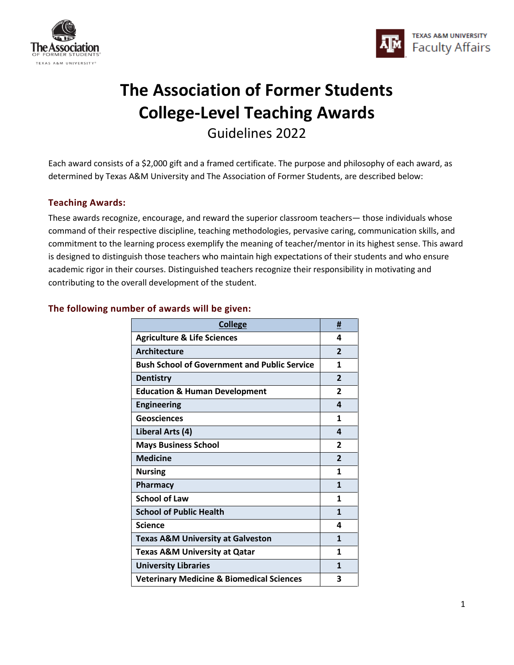



# **The Association of Former Students College-Level Teaching Awards** Guidelines 2022

Each award consists of a \$2,000 gift and a framed certificate. The purpose and philosophy of each award, as determined by Texas A&M University and The Association of Former Students, are described below:

# **Teaching Awards:**

These awards recognize, encourage, and reward the superior classroom teachers— those individuals whose command of their respective discipline, teaching methodologies, pervasive caring, communication skills, and commitment to the learning process exemplify the meaning of teacher/mentor in its highest sense. This award is designed to distinguish those teachers who maintain high expectations of their students and who ensure academic rigor in their courses. Distinguished teachers recognize their responsibility in motivating and contributing to the overall development of the student.

| <b>College</b>                                       | #                        |
|------------------------------------------------------|--------------------------|
| <b>Agriculture &amp; Life Sciences</b>               | 4                        |
| <b>Architecture</b>                                  | $\overline{\phantom{a}}$ |
| <b>Bush School of Government and Public Service</b>  | 1                        |
| <b>Dentistry</b>                                     | $\overline{2}$           |
| <b>Education &amp; Human Development</b>             | $\overline{2}$           |
| <b>Engineering</b>                                   | 4                        |
| Geosciences                                          | 1                        |
| Liberal Arts (4)                                     | 4                        |
| <b>Mays Business School</b>                          | $\overline{2}$           |
| <b>Medicine</b>                                      | $\overline{\phantom{a}}$ |
| <b>Nursing</b>                                       | 1                        |
| <b>Pharmacy</b>                                      | $\mathbf{1}$             |
| <b>School of Law</b>                                 | 1                        |
| <b>School of Public Health</b>                       | $\mathbf{1}$             |
| <b>Science</b>                                       | 4                        |
| <b>Texas A&amp;M University at Galveston</b>         | 1                        |
| <b>Texas A&amp;M University at Qatar</b>             | 1                        |
| <b>University Libraries</b>                          | $\mathbf{1}$             |
| <b>Veterinary Medicine &amp; Biomedical Sciences</b> | 3                        |

### **The following number of awards will be given:**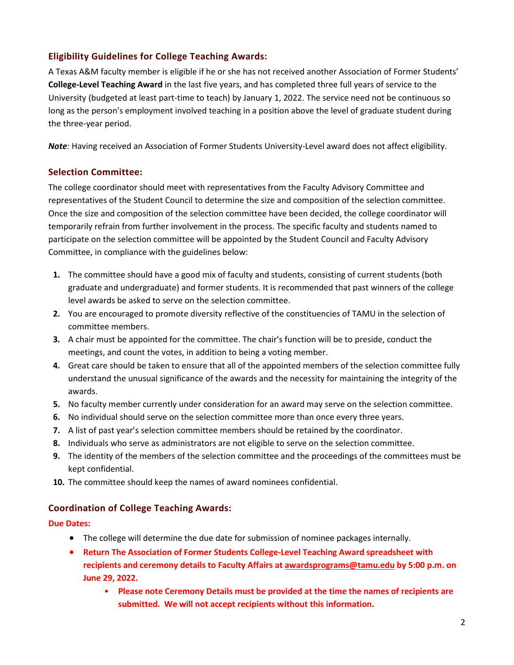# **Eligibility Guidelines for College Teaching Awards:**

A Texas A&M faculty member is eligible if he or she has not received another Association of Former Students' **College-Level Teaching Award** in the last five years, and has completed three full years of service to the University (budgeted at least part-time to teach) by January 1, 2022. The service need not be continuous so long as the person's employment involved teaching in a position above the level of graduate student during the three-year period.

*Note:* Having received an Association of Former Students University-Level award does not affect eligibility.

### **Selection Committee:**

The college coordinator should meet with representatives from the Faculty Advisory Committee and representatives of the Student Council to determine the size and composition of the selection committee. Once the size and composition of the selection committee have been decided, the college coordinator will temporarily refrain from further involvement in the process. The specific faculty and students named to participate on the selection committee will be appointed by the Student Council and Faculty Advisory Committee, in compliance with the guidelines below:

- **1.** The committee should have a good mix of faculty and students, consisting of current students (both graduate and undergraduate) and former students. It is recommended that past winners of the college level awards be asked to serve on the selection committee.
- **2.** You are encouraged to promote diversity reflective of the constituencies of TAMU in the selection of committee members.
- **3.** A chair must be appointed for the committee. The chair's function will be to preside, conduct the meetings, and count the votes, in addition to being a voting member.
- **4.** Great care should be taken to ensure that all of the appointed members of the selection committee fully understand the unusual significance of the awards and the necessity for maintaining the integrity of the awards.
- **5.** No faculty member currently under consideration for an award may serve on the selection committee.
- **6.** No individual should serve on the selection committee more than once every three years.
- **7.** A list of past year's selection committee members should be retained by the coordinator.
- **8.** Individuals who serve as administrators are not eligible to serve on the selection committee.
- **9.** The identity of the members of the selection committee and the proceedings of the committees must be kept confidential.
- **10.** The committee should keep the names of award nominees confidential.

### **Coordination of College Teaching Awards:**

#### **Due Dates:**

- The college will determine the due date for submission of nominee packages internally.
- **Return The Association of Former Students College-Level Teaching Award spreadsheet with recipients and ceremony details to Faculty Affairs at [awardsprograms@tamu.edu](mailto:awardsprograms@tamu.edu) by 5:00 p.m. on June 29, 2022.** 
	- **Please note Ceremony Details must be provided at the time the names of recipients are submitted. We will not accept recipients without this information.**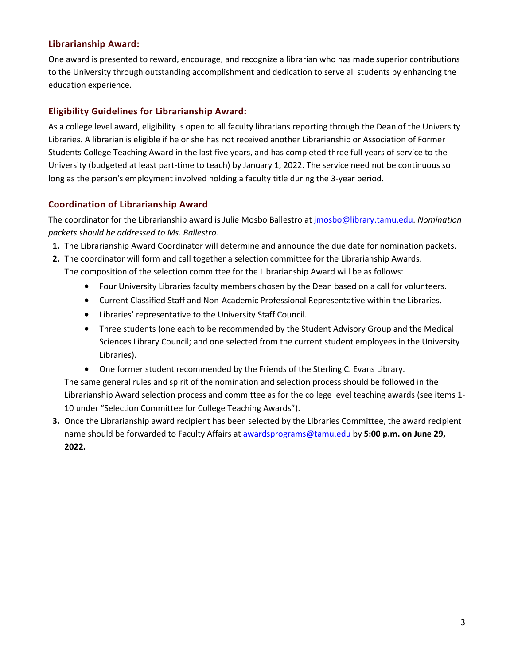## **Librarianship Award:**

One award is presented to reward, encourage, and recognize a librarian who has made superior contributions to the University through outstanding accomplishment and dedication to serve all students by enhancing the education experience.

# **Eligibility Guidelines for Librarianship Award:**

As a college level award, eligibility is open to all faculty librarians reporting through the Dean of the University Libraries. A librarian is eligible if he or she has not received another Librarianship or Association of Former Students College Teaching Award in the last five years, and has completed three full years of service to the University (budgeted at least part-time to teach) by January 1, 2022. The service need not be continuous so long as the person's employment involved holding a faculty title during the 3-year period.

# **Coordination of Librarianship Award**

The coordinator for the Librarianship award is Julie Mosbo Ballestro at [jmosbo@library.tamu.edu.](mailto:jmosbo@library.tamu.edu) *Nomination packets should be addressed to Ms. Ballestro.*

- **1.** The Librarianship Award Coordinator will determine and announce the due date for nomination packets.
- **2.** The coordinator will form and call together a selection committee for the Librarianship Awards. The composition of the selection committee for the Librarianship Award will be as follows:
	- Four University Libraries faculty members chosen by the Dean based on a call for volunteers.
	- Current Classified Staff and Non-Academic Professional Representative within the Libraries.
	- Libraries' representative to the University Staff Council.
	- Three students (one each to be recommended by the Student Advisory Group and the Medical Sciences Library Council; and one selected from the current student employees in the University Libraries).
	- One former student recommended by the Friends of the Sterling C. Evans Library.

The same general rules and spirit of the nomination and selection process should be followed in the Librarianship Award selection process and committee as for the college level teaching awards (see items 1- 10 under "Selection Committee for College Teaching Awards").

**3.** Once the Librarianship award recipient has been selected by the Libraries Committee, the award recipient name should be forwarded to Faculty Affairs a[t awardsprograms@tamu.edu](mailto:awardsprograms@tamu.edu) by **5:00 p.m. on June 29, 2022.**